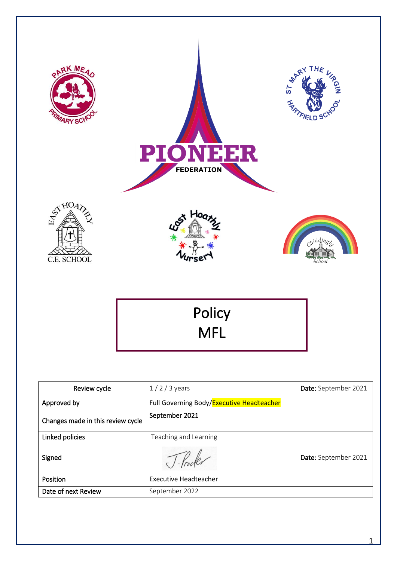

| Approved by                       | Full Governing Body/Executive Headteacher |                      |
|-----------------------------------|-------------------------------------------|----------------------|
| Changes made in this review cycle | September 2021                            |                      |
| Linked policies                   | Teaching and Learning                     |                      |
| Signed                            |                                           | Date: September 2021 |
| Position                          | <b>Executive Headteacher</b>              |                      |
| Date of next Review               | September 2022                            |                      |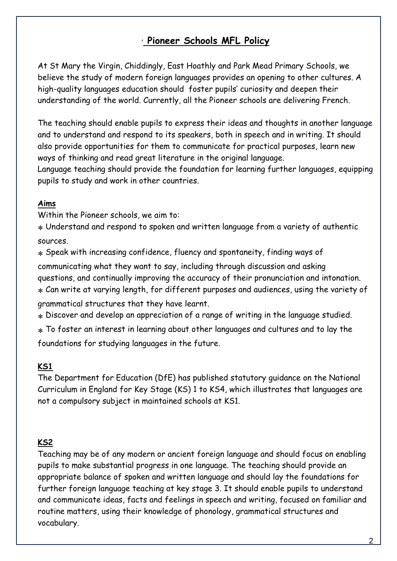# , **Pioneer Schools MFL Policy**

At St Mary the Virgin, Chiddingly, East Hoathly and Park Mead Primary Schools, we believe the study of modern foreign languages provides an opening to other cultures. A high-quality languages education should foster pupils' curiosity and deepen their understanding of the world. Currently, all the Pioneer schools are delivering French.

The teaching should enable pupils to express their ideas and thoughts in another language and to understand and respond to its speakers, both in speech and in writing. It should also provide opportunities for them to communicate for practical purposes, learn new ways of thinking and read great literature in the original language.

Language teaching should provide the foundation for learning further languages, equipping pupils to study and work in other countries.

## **Aims**

Within the Pioneer schools, we aim to:

 Understand and respond to spoken and written language from a variety of authentic sources.

 Speak with increasing confidence, fluency and spontaneity, finding ways of communicating what they want to say, including through discussion and asking questions, and continually improving the accuracy of their pronunciation and intonation. Can write at varying length, for different purposes and audiences, using the variety of grammatical structures that they have learnt.

Discover and develop an appreciation of a range of writing in the language studied.

 To foster an interest in learning about other languages and cultures and to lay the foundations for studying languages in the future.

## **KS1**

The Department for Education (DfE) has published statutory guidance on the National Curriculum in England for Key Stage (KS) 1 to KS4, which illustrates that languages are not a compulsory subject in maintained schools at KS1.

## **KS2**

Teaching may be of any modern or ancient foreign language and should focus on enabling pupils to make substantial progress in one language. The teaching should provide an appropriate balance of spoken and written language and should lay the foundations for further foreign language teaching at key stage 3. It should enable pupils to understand and communicate ideas, facts and feelings in speech and writing, focused on familiar and routine matters, using their knowledge of phonology, grammatical structures and vocabulary.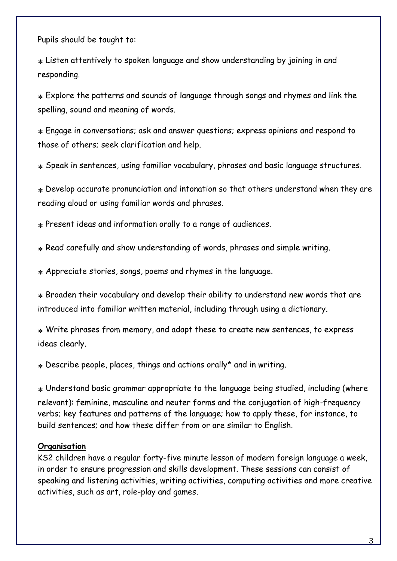Pupils should be taught to:

 Listen attentively to spoken language and show understanding by joining in and responding.

 Explore the patterns and sounds of language through songs and rhymes and link the spelling, sound and meaning of words.

 Engage in conversations; ask and answer questions; express opinions and respond to those of others; seek clarification and help.

Speak in sentences, using familiar vocabulary, phrases and basic language structures.

 Develop accurate pronunciation and intonation so that others understand when they are reading aloud or using familiar words and phrases.

Present ideas and information orally to a range of audiences.

Read carefully and show understanding of words, phrases and simple writing.

Appreciate stories, songs, poems and rhymes in the language.

 Broaden their vocabulary and develop their ability to understand new words that are introduced into familiar written material, including through using a dictionary.

 Write phrases from memory, and adapt these to create new sentences, to express ideas clearly.

Describe people, places, things and actions orally\* and in writing.

 Understand basic grammar appropriate to the language being studied, including (where relevant): feminine, masculine and neuter forms and the conjugation of high-frequency verbs; key features and patterns of the language; how to apply these, for instance, to build sentences; and how these differ from or are similar to English.

#### **Organisation**

KS2 children have a regular forty-five minute lesson of modern foreign language a week, in order to ensure progression and skills development. These sessions can consist of speaking and listening activities, writing activities, computing activities and more creative activities, such as art, role-play and games.